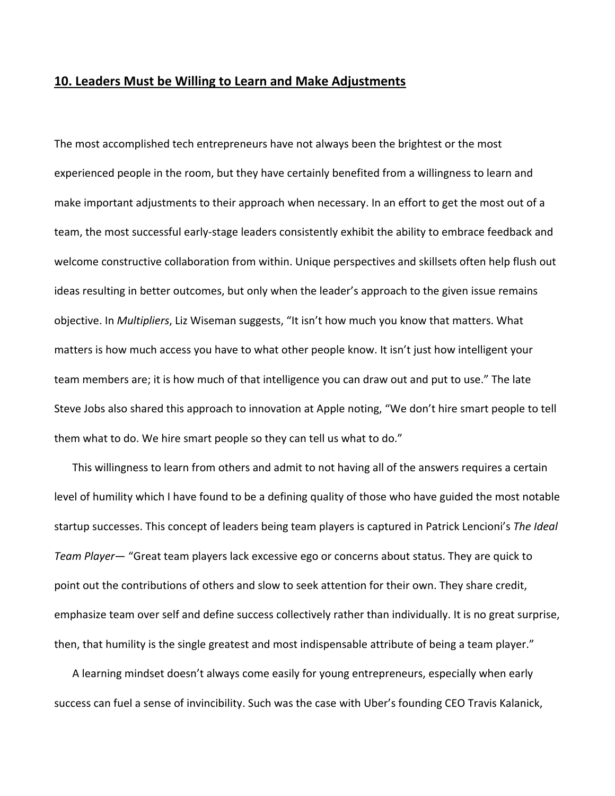## **10. Leaders Must be Willing to Learn and Make Adjustments**

The most accomplished tech entrepreneurs have not always been the brightest or the most experienced people in the room, but they have certainly benefited from a willingness to learn and make important adjustments to their approach when necessary. In an effort to get the most out of a team, the most successful early‐stage leaders consistently exhibit the ability to embrace feedback and welcome constructive collaboration from within. Unique perspectives and skillsets often help flush out ideas resulting in better outcomes, but only when the leader's approach to the given issue remains objective. In *Multipliers*, Liz Wiseman suggests, "It isn't how much you know that matters. What matters is how much access you have to what other people know. It isn't just how intelligent your team members are; it is how much of that intelligence you can draw out and put to use." The late Steve Jobs also shared this approach to innovation at Apple noting, "We don't hire smart people to tell them what to do. We hire smart people so they can tell us what to do."

This willingness to learn from others and admit to not having all of the answers requires a certain level of humility which I have found to be a defining quality of those who have guided the most notable startup successes. This concept of leaders being team players is captured in Patrick Lencioni's *The Ideal Team Player*— "Great team players lack excessive ego or concerns about status. They are quick to point out the contributions of others and slow to seek attention for their own. They share credit, emphasize team over self and define success collectively rather than individually. It is no great surprise, then, that humility is the single greatest and most indispensable attribute of being a team player."

A learning mindset doesn't always come easily for young entrepreneurs, especially when early success can fuel a sense of invincibility. Such was the case with Uber's founding CEO Travis Kalanick,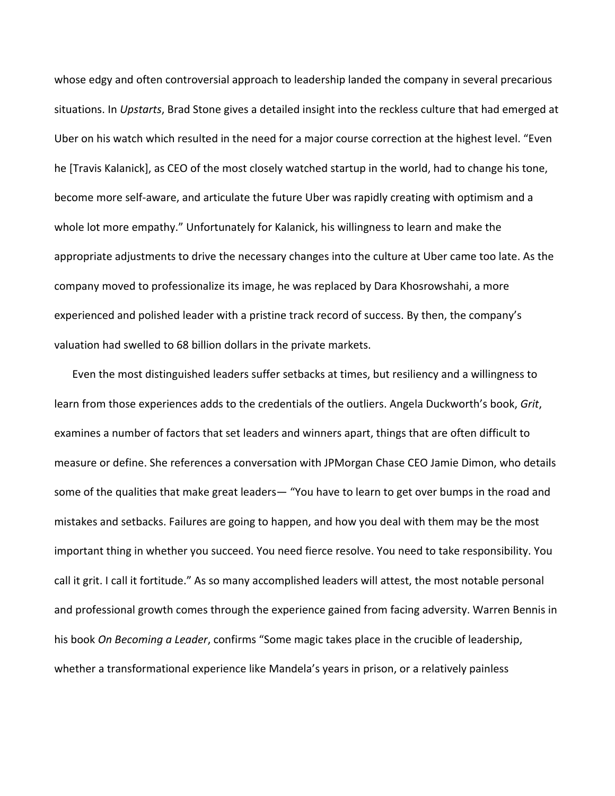whose edgy and often controversial approach to leadership landed the company in several precarious situations. In *Upstarts*, Brad Stone gives a detailed insight into the reckless culture that had emerged at Uber on his watch which resulted in the need for a major course correction at the highest level. "Even he [Travis Kalanick], as CEO of the most closely watched startup in the world, had to change his tone, become more self‐aware, and articulate the future Uber was rapidly creating with optimism and a whole lot more empathy." Unfortunately for Kalanick, his willingness to learn and make the appropriate adjustments to drive the necessary changes into the culture at Uber came too late. As the company moved to professionalize its image, he was replaced by Dara Khosrowshahi, a more experienced and polished leader with a pristine track record of success. By then, the company's valuation had swelled to 68 billion dollars in the private markets.

Even the most distinguished leaders suffer setbacks at times, but resiliency and a willingness to learn from those experiences adds to the credentials of the outliers. Angela Duckworth's book, *Grit*, examines a number of factors that set leaders and winners apart, things that are often difficult to measure or define. She references a conversation with JPMorgan Chase CEO Jamie Dimon, who details some of the qualities that make great leaders— "You have to learn to get over bumps in the road and mistakes and setbacks. Failures are going to happen, and how you deal with them may be the most important thing in whether you succeed. You need fierce resolve. You need to take responsibility. You call it grit. I call it fortitude." As so many accomplished leaders will attest, the most notable personal and professional growth comes through the experience gained from facing adversity. Warren Bennis in his book *On Becoming a Leader*, confirms "Some magic takes place in the crucible of leadership, whether a transformational experience like Mandela's years in prison, or a relatively painless